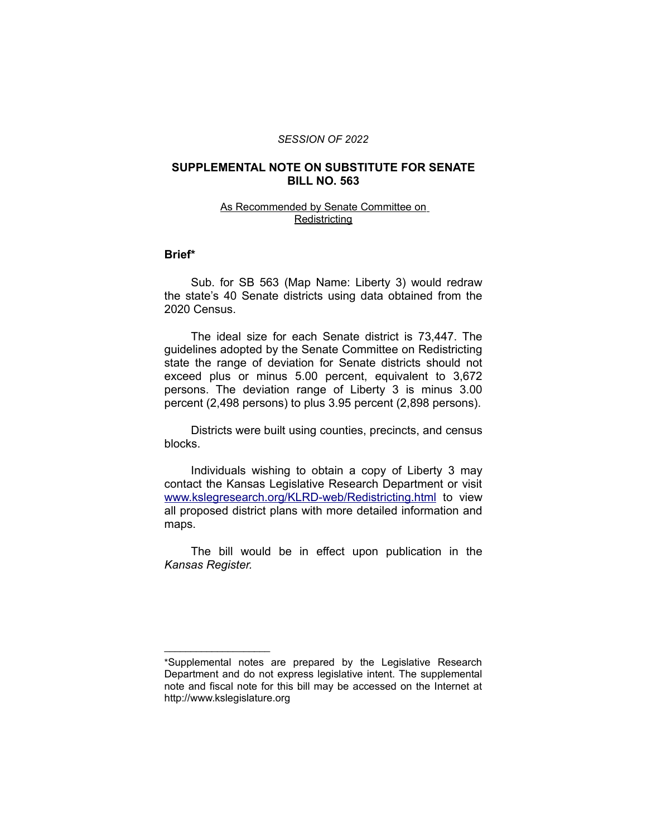#### *SESSION OF 2022*

## **SUPPLEMENTAL NOTE ON SUBSTITUTE FOR SENATE BILL NO. 563**

## As Recommended by Senate Committee on **Redistricting**

### **Brief\***

Sub. for SB 563 (Map Name: Liberty 3) would redraw the state's 40 Senate districts using data obtained from the 2020 Census.

The ideal size for each Senate district is 73,447. The guidelines adopted by the Senate Committee on Redistricting state the range of deviation for Senate districts should not exceed plus or minus 5.00 percent, equivalent to 3,672 persons. The deviation range of Liberty 3 is minus 3.00 percent (2,498 persons) to plus 3.95 percent (2,898 persons).

Districts were built using counties, precincts, and census blocks.

Individuals wishing to obtain a copy of Liberty 3 may contact the Kansas Legislative Research Department or visit [www.kslegresearch.org/KLRD-web/Redistricting.html](http://www.kslegresearch.org/KLRD-web/Redistricting.html) to view all proposed district plans with more detailed information and maps.

The bill would be in effect upon publication in the *Kansas Register.*

 $\overline{\phantom{a}}$  , where  $\overline{\phantom{a}}$ 

<sup>\*</sup>Supplemental notes are prepared by the Legislative Research Department and do not express legislative intent. The supplemental note and fiscal note for this bill may be accessed on the Internet at http://www.kslegislature.org